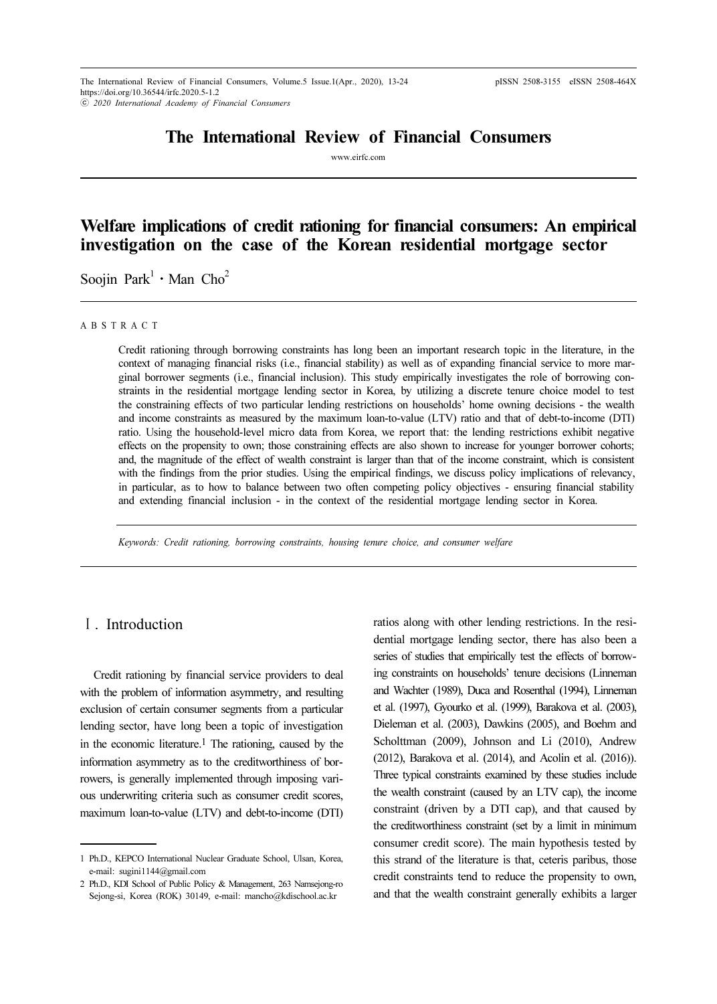# The International Review of Financial Consumers

www.eirfc.com

# Welfare implications of credit rationing for financial consumers: An empirical investigation on the case of the Korean residential mortgage sector ⋅

Soojin Park<sup>1</sup>  $\cdot$  Man Cho<sup>2</sup>

#### A B S T R A C T

Credit rationing through borrowing constraints has long been an important research topic in the literature, in the context of managing financial risks (i.e., financial stability) as well as of expanding financial service to more marginal borrower segments (i.e., financial inclusion). This study empirically investigates the role of borrowing constraints in the residential mortgage lending sector in Korea, by utilizing a discrete tenure choice model to test the constraining effects of two particular lending restrictions on households' home owning decisions - the wealth and income constraints as measured by the maximum loan-to-value (LTV) ratio and that of debt-to-income (DTI) ratio. Using the household-level micro data from Korea, we report that: the lending restrictions exhibit negative effects on the propensity to own; those constraining effects are also shown to increase for younger borrower cohorts; and, the magnitude of the effect of wealth constraint is larger than that of the income constraint, which is consistent with the findings from the prior studies. Using the empirical findings, we discuss policy implications of relevancy, in particular, as to how to balance between two often competing policy objectives - ensuring financial stability and extending financial inclusion - in the context of the residential mortgage lending sector in Korea.

Keywords: Credit rationing, borrowing constraints, housing tenure choice, and consumer welfare

# Ⅰ. Introduction

Credit rationing by financial service providers to deal with the problem of information asymmetry, and resulting exclusion of certain consumer segments from a particular lending sector, have long been a topic of investigation in the economic literature.<sup>1</sup> The rationing, caused by the information asymmetry as to the creditworthiness of borrowers, is generally implemented through imposing various underwriting criteria such as consumer credit scores, maximum loan-to-value (LTV) and debt-to-income (DTI)

ratios along with other lending restrictions. In the residential mortgage lending sector, there has also been a series of studies that empirically test the effects of borrowing constraints on households' tenure decisions (Linneman and Wachter (1989), Duca and Rosenthal (1994), Linneman et al. (1997), Gyourko et al. (1999), Barakova et al. (2003), Dieleman et al. (2003), Dawkins (2005), and Boehm and Scholttman (2009), Johnson and Li (2010), Andrew (2012), Barakova et al. (2014), and Acolin et al. (2016)). Three typical constraints examined by these studies include the wealth constraint (caused by an LTV cap), the income constraint (driven by a DTI cap), and that caused by the creditworthiness constraint (set by a limit in minimum consumer credit score). The main hypothesis tested by this strand of the literature is that, ceteris paribus, those credit constraints tend to reduce the propensity to own, and that the wealth constraint generally exhibits a larger

<sup>1</sup> Ph.D., KEPCO International Nuclear Graduate School, Ulsan, Korea, e-mail: sugini1144@gmail.com

<sup>2</sup> Ph.D., KDI School of Public Policy & Management, 263 Namsejong-ro Sejong-si, Korea (ROK) 30149, e-mail: mancho@kdischool.ac.kr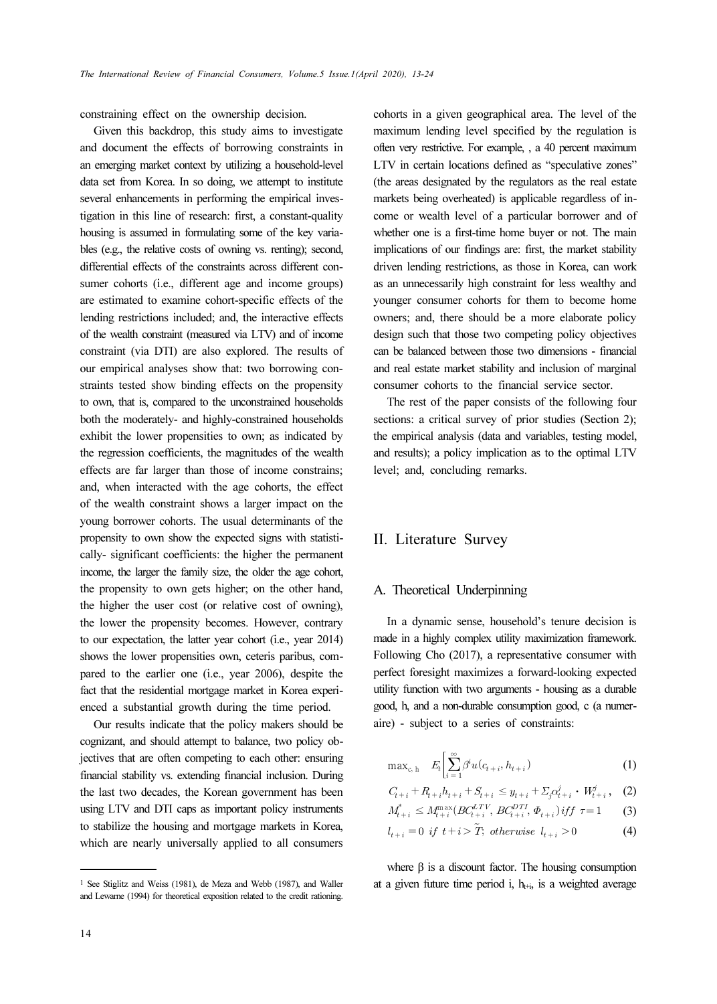constraining effect on the ownership decision.

Given this backdrop, this study aims to investigate and document the effects of borrowing constraints in an emerging market context by utilizing a household-level data set from Korea. In so doing, we attempt to institute several enhancements in performing the empirical investigation in this line of research: first, a constant-quality housing is assumed in formulating some of the key variables (e.g., the relative costs of owning vs. renting); second, differential effects of the constraints across different consumer cohorts (i.e., different age and income groups) are estimated to examine cohort-specific effects of the lending restrictions included; and, the interactive effects of the wealth constraint (measured via LTV) and of income constraint (via DTI) are also explored. The results of our empirical analyses show that: two borrowing constraints tested show binding effects on the propensity to own, that is, compared to the unconstrained households both the moderately- and highly-constrained households exhibit the lower propensities to own; as indicated by the regression coefficients, the magnitudes of the wealth effects are far larger than those of income constrains; and, when interacted with the age cohorts, the effect of the wealth constraint shows a larger impact on the young borrower cohorts. The usual determinants of the propensity to own show the expected signs with statistically- significant coefficients: the higher the permanent income, the larger the family size, the older the age cohort, the propensity to own gets higher; on the other hand, the higher the user cost (or relative cost of owning), the lower the propensity becomes. However, contrary to our expectation, the latter year cohort (i.e., year 2014) shows the lower propensities own, ceteris paribus, compared to the earlier one (i.e., year 2006), despite the fact that the residential mortgage market in Korea experienced a substantial growth during the time period.

Our results indicate that the policy makers should be cognizant, and should attempt to balance, two policy objectives that are often competing to each other: ensuring financial stability vs. extending financial inclusion. During the last two decades, the Korean government has been using LTV and DTI caps as important policy instruments to stabilize the housing and mortgage markets in Korea, which are nearly universally applied to all consumers

cohorts in a given geographical area. The level of the maximum lending level specified by the regulation is often very restrictive. For example, , a 40 percent maximum LTV in certain locations defined as "speculative zones" (the areas designated by the regulators as the real estate markets being overheated) is applicable regardless of income or wealth level of a particular borrower and of whether one is a first-time home buyer or not. The main implications of our findings are: first, the market stability driven lending restrictions, as those in Korea, can work as an unnecessarily high constraint for less wealthy and younger consumer cohorts for them to become home owners; and, there should be a more elaborate policy design such that those two competing policy objectives can be balanced between those two dimensions - financial and real estate market stability and inclusion of marginal consumer cohorts to the financial service sector.

The rest of the paper consists of the following four sections: a critical survey of prior studies (Section 2); the empirical analysis (data and variables, testing model, and results); a policy implication as to the optimal LTV level; and, concluding remarks.

### II. Literature Survey

### A. Theoretical Underpinning

In a dynamic sense, household's tenure decision is made in a highly complex utility maximization framework. Following Cho (2017), a representative consumer with perfect foresight maximizes a forward-looking expected utility function with two arguments - housing as a durable good, h, and a non-durable consumption good, c (a numeraire) - subject to a series of constraints:

$$
\max_{c, h} E_t \Big[ \sum_{i=1}^{\infty} \beta^i u(c_{t+i}, h_{t+i}) \Big] \tag{1}
$$
\n
$$
C_{t+i} + R_{t+i} h_{t+i} + S_{t+i} \le y_{t+i} + \sum_j \alpha_{t+i}^j \cdot W_{t+i}^j, \quad (2)
$$
\n
$$
M_{t+i}^* \le M_{t+i}^{\max} (BC_{t+i}^{LTV}, BC_{t+i}^{DTT}, \Phi_{t+i}) \text{ iff } \tau = 1 \quad (3)
$$
\n
$$
l_{t+i} = 0 \text{ if } t+i > \widetilde{T}; \text{ otherwise } l_{t+i} > 0 \quad (4)
$$

$$
C_{t+i} + R_{t+i}h_{t+i} + S_{t+i} \le y_{t+i} + \sum_{j} \alpha_{t+i}^{j} \cdot W_{t+i}^{j}, \quad (2)
$$

$$
M_{t+i}^* \le M_{t+i}^{\max}(BC_{t+i}^{LTV}, BC_{t+i}^{DTI}, \Phi_{t+i}) \, iff \, \tau = 1 \tag{3}
$$

$$
l_{t+i} = 0 \text{ if } t+i > \tilde{T}, \text{ otherwise } l_{t+i} > 0 \tag{4}
$$

where  $β$  is a discount factor. The housing consumption at a given future time period i,  $h_{t+i}$ , is a weighted average

<sup>1</sup> See Stiglitz and Weiss (1981), de Meza and Webb (1987), and Waller and Lewarne (1994) for theoretical exposition related to the credit rationing.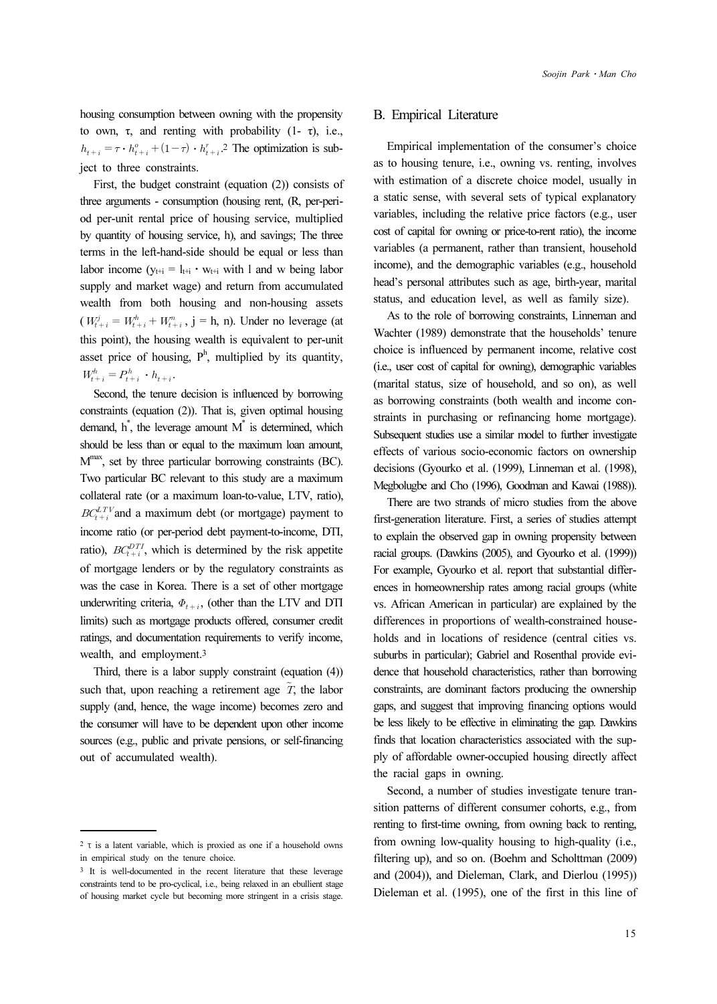housing consumption between owning with the propensity to own, τ, and renting with probability (1- τ), i.e.,  $h_{t+i} = \tau \cdot h_{t+i}^o + (1-\tau) \cdot h_{t+i}^r$ . The optimization is subject to three constraints.

First, the budget constraint (equation (2)) consists of three arguments - consumption (housing rent, (R, per-period per-unit rental price of housing service, multiplied by quantity of housing service, h), and savings; The three terms in the left-hand-side should be equal or less than labor income ( $y_{t+i} = l_{t+i} \cdot w_{t+i}$  with l and w being labor supply and market wage) and return from accumulated wealth from both housing and non-housing assets  $(W_{t+i}^j = W_{t+i}^h + W_{t+i}^n, j = h, n)$ . Under no leverage (at this point), the housing wealth is equivalent to per-unit asset price of housing,  $P^h$ , multiplied by its quantity,  $W_{t+i}^h = P_{t+i}^h \cdot h_{t+i}$ .

Second, the tenure decision is influenced by borrowing constraints (equation (2)). That is, given optimal housing demand,  $h^*$ , the leverage amount  $M^*$  is determined, which should be less than or equal to the maximum loan amount,  $M<sup>max</sup>$ , set by three particular borrowing constraints (BC). Two particular BC relevant to this study are a maximum collateral rate (or a maximum loan-to-value, LTV, ratio),  $BC_{t+i}^{LTV}$  and a maximum debt (or mortgage) payment to income ratio (or per-period debt payment-to-income, DTI, ratio),  $BC_{t+i}^{DTI}$ , which is determined by the risk appetite of mortgage lenders or by the regulatory constraints as was the case in Korea. There is a set of other mortgage underwriting criteria,  $\Phi_{t+i}$ , (other than the LTV and DTI limits) such as mortgage products offered, consumer credit ratings, and documentation requirements to verify income, wealth, and employment.<sup>3</sup> was the case in Kotea. There is a set of other hiorgage<br>
underwriting criteria,  $\Phi_{t+i}$ , (other than the LTV and DTI<br>
limits) such as mortgage products offered, consumer credit<br>
ratings, and documentation requirements to

Third, there is a labor supply constraint (equation (4)) supply (and, hence, the wage income) becomes zero and the consumer will have to be dependent upon other income sources (e.g., public and private pensions, or self-financing out of accumulated wealth).

### B. Empirical Literature

Empirical implementation of the consumer's choice as to housing tenure, i.e., owning vs. renting, involves with estimation of a discrete choice model, usually in a static sense, with several sets of typical explanatory variables, including the relative price factors (e.g., user cost of capital for owning or price-to-rent ratio), the income variables (a permanent, rather than transient, household income), and the demographic variables (e.g., household head's personal attributes such as age, birth-year, marital status, and education level, as well as family size).

As to the role of borrowing constraints, Linneman and Wachter (1989) demonstrate that the households' tenure choice is influenced by permanent income, relative cost (i.e., user cost of capital for owning), demographic variables (marital status, size of household, and so on), as well as borrowing constraints (both wealth and income constraints in purchasing or refinancing home mortgage). Subsequent studies use a similar model to further investigate effects of various socio-economic factors on ownership decisions (Gyourko et al. (1999), Linneman et al. (1998), Megbolugbe and Cho (1996), Goodman and Kawai (1988)).

There are two strands of micro studies from the above first-generation literature. First, a series of studies attempt to explain the observed gap in owning propensity between racial groups. (Dawkins (2005), and Gyourko et al. (1999)) For example, Gyourko et al. report that substantial differences in homeownership rates among racial groups (white vs. African American in particular) are explained by the differences in proportions of wealth-constrained households and in locations of residence (central cities vs. suburbs in particular); Gabriel and Rosenthal provide evidence that household characteristics, rather than borrowing constraints, are dominant factors producing the ownership gaps, and suggest that improving financing options would be less likely to be effective in eliminating the gap. Dawkins finds that location characteristics associated with the supply of affordable owner-occupied housing directly affect the racial gaps in owning.

Second, a number of studies investigate tenure transition patterns of different consumer cohorts, e.g., from renting to first-time owning, from owning back to renting, from owning low-quality housing to high-quality (i.e., filtering up), and so on. (Boehm and Scholttman (2009) and (2004)), and Dieleman, Clark, and Dierlou (1995)) Dieleman et al. (1995), one of the first in this line of

<sup>2</sup> τ is a latent variable, which is proxied as one if a household owns in empirical study on the tenure choice.

<sup>3</sup> It is well-documented in the recent literature that these leverage constraints tend to be pro-cyclical, i.e., being relaxed in an ebullient stage of housing market cycle but becoming more stringent in a crisis stage.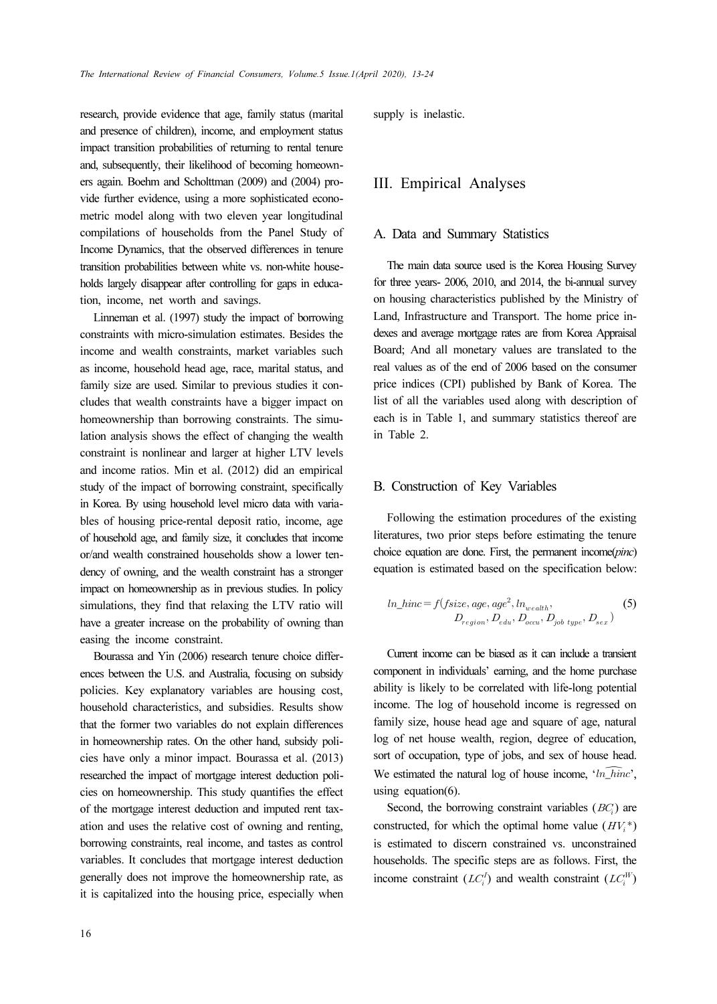research, provide evidence that age, family status (marital and presence of children), income, and employment status impact transition probabilities of returning to rental tenure and, subsequently, their likelihood of becoming homeowners again. Boehm and Scholttman (2009) and (2004) provide further evidence, using a more sophisticated econometric model along with two eleven year longitudinal compilations of households from the Panel Study of Income Dynamics, that the observed differences in tenure transition probabilities between white vs. non-white households largely disappear after controlling for gaps in education, income, net worth and savings.

Linneman et al. (1997) study the impact of borrowing constraints with micro-simulation estimates. Besides the income and wealth constraints, market variables such as income, household head age, race, marital status, and family size are used. Similar to previous studies it concludes that wealth constraints have a bigger impact on homeownership than borrowing constraints. The simulation analysis shows the effect of changing the wealth constraint is nonlinear and larger at higher LTV levels and income ratios. Min et al. (2012) did an empirical study of the impact of borrowing constraint, specifically in Korea. By using household level micro data with variables of housing price-rental deposit ratio, income, age of household age, and family size, it concludes that income or/and wealth constrained households show a lower tendency of owning, and the wealth constraint has a stronger impact on homeownership as in previous studies. In policy simulations, they find that relaxing the LTV ratio will have a greater increase on the probability of owning than easing the income constraint.

Bourassa and Yin (2006) research tenure choice differences between the U.S. and Australia, focusing on subsidy policies. Key explanatory variables are housing cost, household characteristics, and subsidies. Results show that the former two variables do not explain differences in homeownership rates. On the other hand, subsidy policies have only a minor impact. Bourassa et al. (2013) researched the impact of mortgage interest deduction policies on homeownership. This study quantifies the effect of the mortgage interest deduction and imputed rent taxation and uses the relative cost of owning and renting, borrowing constraints, real income, and tastes as control variables. It concludes that mortgage interest deduction generally does not improve the homeownership rate, as it is capitalized into the housing price, especially when supply is inelastic.

### III. Empirical Analyses

#### A. Data and Summary Statistics

The main data source used is the Korea Housing Survey for three years- 2006, 2010, and 2014, the bi-annual survey on housing characteristics published by the Ministry of Land, Infrastructure and Transport. The home price indexes and average mortgage rates are from Korea Appraisal Board; And all monetary values are translated to the real values as of the end of 2006 based on the consumer price indices (CPI) published by Bank of Korea. The list of all the variables used along with description of each is in Table 1, and summary statistics thereof are in Table 2.

## B. Construction of Key Variables

Following the estimation procedures of the existing literatures, two prior steps before estimating the tenure choice equation are done. First, the permanent income(pinc) equation is estimated based on the specification below:

$$
ln\_hinc = f(fsize, age, age^2, ln_{wealth},
$$

$$
D_{region}, D_{edu}, D_{ocu}, D_{job\ type}, D_{sex})
$$
 (5)

Current income can be biased as it can include a transient component in individuals' earning, and the home purchase ability is likely to be correlated with life-long potential income. The log of household income is regressed on family size, house head age and square of age, natural log of net house wealth, region, degree of education, sort of occupation, type of jobs, and sex of house head. B. Construction of Key Variables<br>
Following the estimation procedures of the existing<br>
literatures, two prior steps before estimating the tenure<br>
choice equation are done. First, the permanent income(pinc)<br>
equation is es using equation(6).

Second, the borrowing constraint variables  $(BC)$  are constructed, for which the optimal home value  $(HV_i^*)$ is estimated to discern constrained vs. unconstrained households. The specific steps are as follows. First, the income constraint  $(LC_i^I)$  and wealth constraint  $(LC_i^W)$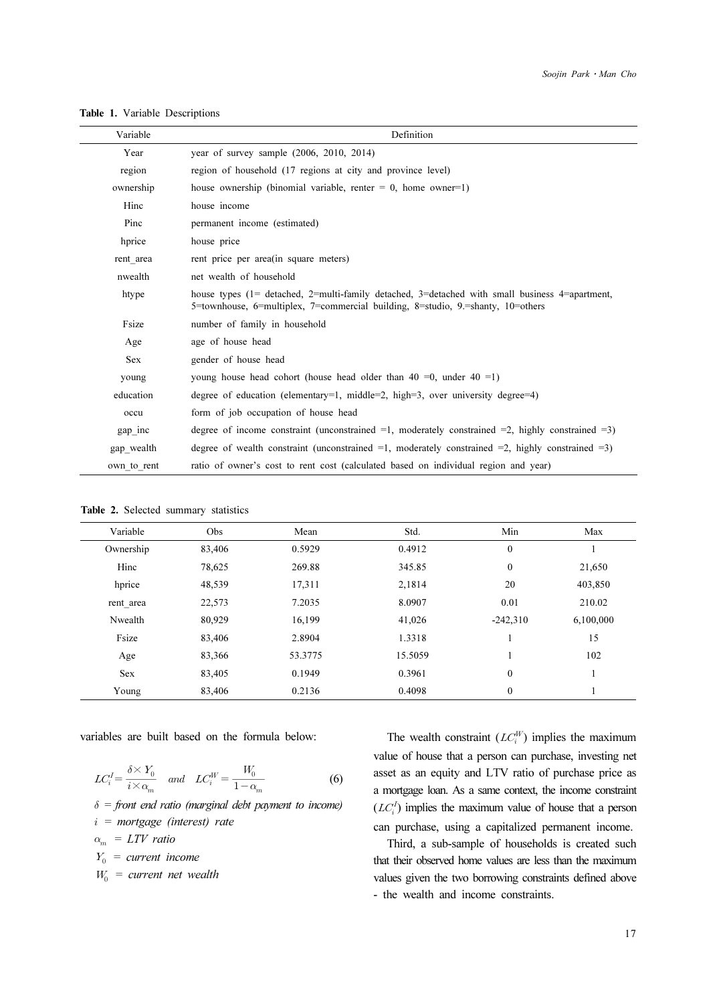|                                             |                                                 |                                          |                                                                                                                                                                                   |                                                      | Soojin Park • Man Che |  |
|---------------------------------------------|-------------------------------------------------|------------------------------------------|-----------------------------------------------------------------------------------------------------------------------------------------------------------------------------------|------------------------------------------------------|-----------------------|--|
|                                             |                                                 |                                          |                                                                                                                                                                                   |                                                      |                       |  |
| <b>Table 1.</b> Variable Descriptions       |                                                 |                                          |                                                                                                                                                                                   |                                                      |                       |  |
| Variable                                    |                                                 |                                          | Definition                                                                                                                                                                        |                                                      |                       |  |
| Year                                        |                                                 | year of survey sample (2006, 2010, 2014) |                                                                                                                                                                                   |                                                      |                       |  |
| region                                      |                                                 |                                          | region of household (17 regions at city and province level)                                                                                                                       |                                                      |                       |  |
| ownership                                   |                                                 |                                          | house ownership (binomial variable, renter $= 0$ , home owner $= 1$ )                                                                                                             |                                                      |                       |  |
| Hinc                                        | house income                                    |                                          |                                                                                                                                                                                   |                                                      |                       |  |
| Pinc                                        | permanent income (estimated)                    |                                          |                                                                                                                                                                                   |                                                      |                       |  |
| hprice                                      | house price                                     |                                          |                                                                                                                                                                                   |                                                      |                       |  |
| rent area                                   | rent price per area (in square meters)          |                                          |                                                                                                                                                                                   |                                                      |                       |  |
| nwealth                                     | net wealth of household                         |                                          |                                                                                                                                                                                   |                                                      |                       |  |
| htype                                       |                                                 |                                          | house types (1= detached, 2=multi-family detached, 3=detached with small business 4=apartment,<br>5=townhouse, 6=multiplex, 7=commercial building, 8=studio, 9.=shanty, 10=others |                                                      |                       |  |
| Fsize                                       | number of family in household                   |                                          |                                                                                                                                                                                   |                                                      |                       |  |
| Age                                         | age of house head                               |                                          |                                                                                                                                                                                   |                                                      |                       |  |
| Sex                                         | gender of house head                            |                                          |                                                                                                                                                                                   |                                                      |                       |  |
| young                                       |                                                 |                                          | young house head cohort (house head older than $40 = 0$ , under $40 = 1$ )                                                                                                        |                                                      |                       |  |
| education                                   |                                                 |                                          | degree of education (elementary=1, middle=2, high=3, over university degree=4)                                                                                                    |                                                      |                       |  |
| occu                                        |                                                 | form of job occupation of house head     |                                                                                                                                                                                   |                                                      |                       |  |
| gap_inc                                     |                                                 |                                          | degree of income constraint (unconstrained =1, moderately constrained =2, highly constrained =3)                                                                                  |                                                      |                       |  |
| gap_wealth                                  |                                                 |                                          | degree of wealth constraint (unconstrained $=1$ , moderately constrained $=2$ , highly constrained $=3$ )                                                                         |                                                      |                       |  |
| own_to_rent                                 |                                                 |                                          | ratio of owner's cost to rent cost (calculated based on individual region and year)                                                                                               |                                                      |                       |  |
|                                             |                                                 |                                          |                                                                                                                                                                                   |                                                      |                       |  |
| <b>Table 2.</b> Selected summary statistics |                                                 |                                          |                                                                                                                                                                                   |                                                      |                       |  |
| Variable                                    | Obs                                             | Mean                                     | Std.                                                                                                                                                                              | Min                                                  | Max                   |  |
| Ownership                                   | 83,406                                          | 0.5929                                   | 0.4912                                                                                                                                                                            | $\boldsymbol{0}$                                     | 1                     |  |
| Hinc                                        | 78,625                                          | 269.88                                   | 345.85                                                                                                                                                                            | 0                                                    | 21,650                |  |
| hprice                                      | 48,539                                          | 17,311                                   | 2,1814                                                                                                                                                                            | 20                                                   | 403,850               |  |
| rent_area                                   | 22,573                                          | 7.2035                                   | 8.0907                                                                                                                                                                            | 0.01                                                 | 210.02                |  |
| Nwealth<br>Fsize                            | 80,929<br>83,406                                | 16,199<br>2.8904                         | 41,026<br>1.3318                                                                                                                                                                  | $-242,310$<br>$\mathbf{1}$                           | 6,100,000<br>15       |  |
| Age                                         | 83,366                                          | 53.3775                                  | 15.5059                                                                                                                                                                           | 1                                                    | 102                   |  |
| Sex                                         | 83,405                                          | 0.1949                                   | 0.3961                                                                                                                                                                            | 0                                                    | $\mathbf{1}$          |  |
| Young                                       | 83,406                                          | 0.2136                                   | 0.4098                                                                                                                                                                            | 0                                                    | 1                     |  |
|                                             |                                                 |                                          |                                                                                                                                                                                   |                                                      |                       |  |
|                                             |                                                 |                                          |                                                                                                                                                                                   |                                                      |                       |  |
|                                             | variables are built based on the formula below: |                                          |                                                                                                                                                                                   | The wealth constraint $(LC_i^W)$ implies the maximum |                       |  |

Table 1. Variable Descriptions

|  |  |  | Table 2. Selected summary statistics |  |
|--|--|--|--------------------------------------|--|
|--|--|--|--------------------------------------|--|

| Variable   | Obs    | Mean    | Std.    | Min              | Max       |
|------------|--------|---------|---------|------------------|-----------|
| Ownership  | 83,406 | 0.5929  | 0.4912  | $\boldsymbol{0}$ |           |
| Hinc       | 78,625 | 269.88  | 345.85  | $\mathbf{0}$     | 21,650    |
| hprice     | 48,539 | 17,311  | 2,1814  | 20               | 403,850   |
| rent area  | 22,573 | 7.2035  | 8.0907  | 0.01             | 210.02    |
| Nwealth    | 80,929 | 16,199  | 41,026  | $-242,310$       | 6,100,000 |
| Fsize      | 83,406 | 2.8904  | 1.3318  |                  | 15        |
| Age        | 83,366 | 53.3775 | 15.5059 |                  | 102       |
| <b>Sex</b> | 83,405 | 0.1949  | 0.3961  | $\mathbf{0}$     |           |
| Young      | 83,406 | 0.2136  | 0.4098  | $\mathbf{0}$     |           |

$$
LC_i^I = \frac{\delta \times Y_0}{i \times \alpha_m} \quad \text{and} \quad LC_i^W = \frac{W_0}{1 - \alpha_m} \tag{6}
$$

 $\delta$  = front end ratio (marginal debt payment to income)  $i =$  mortgage (interest) rate  $\alpha_m = LTV$  ratio

 $Y_0$  = current income

 $W_0$  = current net wealth

The wealth constraint  $(LC_i^W)$  implies the maximum value of house that a person can purchase, investing net asset as an equity and LTV ratio of purchase price as a mortgage loan. As a same context, the income constraint  $(LC_i^I)$  implies the maximum value of house that a person can purchase, using a capitalized permanent income.

Third, a sub-sample of households is created such that their observed home values are less than the maximum values given the two borrowing constraints defined above - the wealth and income constraints.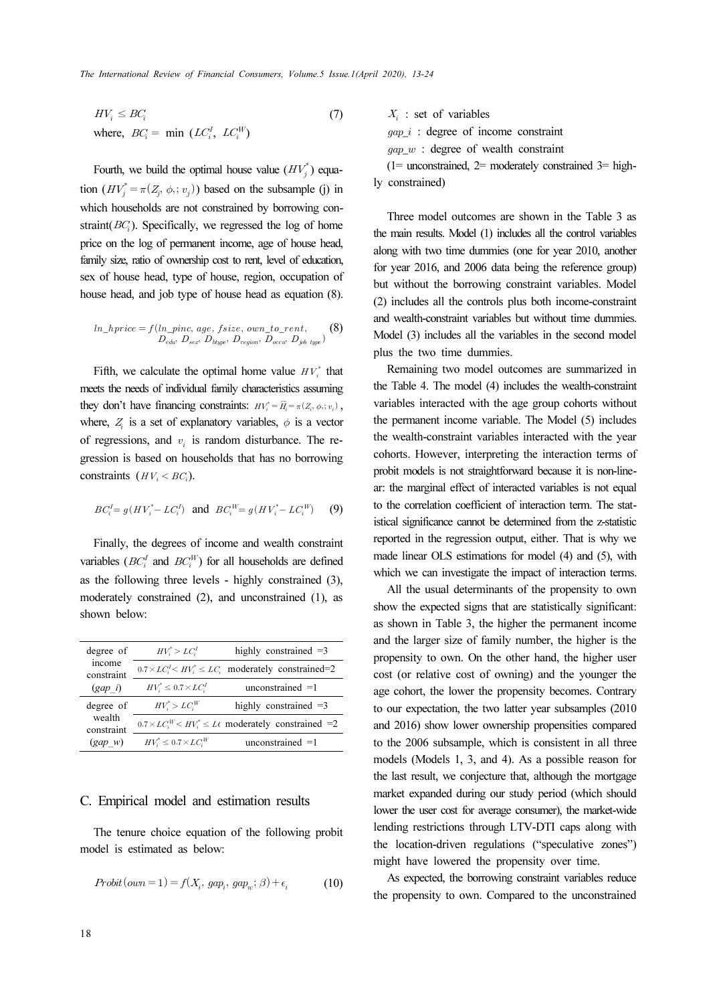$$
HV_i \le BC_i
$$
  
where,  $BC_i = \min(LC_i^I, LC_i^W)$  (7)

Fourth, we build the optimal house value  $(HV_j^*)$  equation  $(HV_j^* = \pi(Z_j, \phi_j; v_j))$  based on the subsample (j) in which households are not constrained by borrowing constraint( $BC<sub>i</sub>$ ). Specifically, we regressed the log of home price on the log of permanent income, age of house head, family size, ratio of ownership cost to rent, level of education, sex of house head, type of house, region, occupation of house head, and job type of house head as equation (8).

$$
ln\_hprice = f(ln\_pinc, age, fsize, own\_to\_rent, \nD_{edv} D_{sex} D_{ltype}, D_{region}, D_{occv} D_{job \ type})
$$
 (8)

Fifth, we calculate the optimal home value  $HV_i^*$  that meets the needs of individual family characteristics assuming they don't have financing constraints:  $HV_i^* = \widehat{H}_i = \pi(Z_i, \phi_i; v_i)$ ,  $\begin{aligned} \n\frac{1}{2} to \_r \\ \n\text{value} \\ \n\text{value} \\ \n\text{therefore} \\ \n\frac{1}{2} &= \widehat{H} \n\end{aligned}$ where,  $Z_i$  is a set of explanatory variables,  $\phi$  is a vector of regressions, and  $v_i$  is random disturbance. The regression is based on households that has no borrowing constraints  $(HV_i < BC_i)$ .

$$
BC_i^I = g(HV_i^* - LC_i^I)
$$
 and  $BC_i^W = g(HV_i^* - LC_i^W)$  (9)

Finally, the degrees of income and wealth constraint variables ( $BC_i^I$  and  $BC_i^W$ ) for all households are defined as the following three levels - highly constrained (3), moderately constrained (2), and unconstrained (1), as shown below:

| degree of<br>income<br>constraint<br>$(gap \; i)$ | $HV_i^* > LC_i^I$<br>highly constrained $=3$ |                                                                  |  |  |
|---------------------------------------------------|----------------------------------------------|------------------------------------------------------------------|--|--|
|                                                   |                                              | $0.7 \times LC_i^I \lt HV_i^* \le LC_i$ moderately constrained=2 |  |  |
|                                                   | $HV_i^* \leq 0.7 \times LC_i^I$              | unconstrained $=1$                                               |  |  |
| degree of<br>wealth<br>constraint<br>$(gap \ w)$  | $HV_i^* > LC_i^W$                            | highly constrained $=3$                                          |  |  |
|                                                   |                                              | $0.7 \times LC_i^W$ < $HV_i^* \leq L$ moderately constrained =2  |  |  |
|                                                   | $HV_i^* \leq 0.7 \times LC_i^W$              | unconstrained $=1$                                               |  |  |

### C. Empirical model and estimation results

The tenure choice equation of the following probit model is estimated as below:

$$
Probability(own = 1) = f(X_i, gap_i, gap_w; \beta) + \epsilon_i
$$
 (10)

 $X_i$ : set of variables  $gap_i$ : degree of income constraint  $gap_w$ : degree of wealth constraint  $(1=$  unconstrained,  $2=$  moderately constrained  $3=$  highly constrained)

Three model outcomes are shown in the Table 3 as the main results. Model (1) includes all the control variables along with two time dummies (one for year 2010, another for year 2016, and 2006 data being the reference group) but without the borrowing constraint variables. Model (2) includes all the controls plus both income-constraint and wealth-constraint variables but without time dummies. Model (3) includes all the variables in the second model plus the two time dummies.

Remaining two model outcomes are summarized in the Table 4. The model (4) includes the wealth-constraint variables interacted with the age group cohorts without the permanent income variable. The Model (5) includes the wealth-constraint variables interacted with the year cohorts. However, interpreting the interaction terms of probit models is not straightforward because it is non-linear: the marginal effect of interacted variables is not equal to the correlation coefficient of interaction term. The statistical significance cannot be determined from the z-statistic reported in the regression output, either. That is why we made linear OLS estimations for model (4) and (5), with which we can investigate the impact of interaction terms.

All the usual determinants of the propensity to own show the expected signs that are statistically significant: as shown in Table 3, the higher the permanent income and the larger size of family number, the higher is the propensity to own. On the other hand, the higher user cost (or relative cost of owning) and the younger the age cohort, the lower the propensity becomes. Contrary to our expectation, the two latter year subsamples (2010 and 2016) show lower ownership propensities compared to the 2006 subsample, which is consistent in all three models (Models 1, 3, and 4). As a possible reason for the last result, we conjecture that, although the mortgage market expanded during our study period (which should lower the user cost for average consumer), the market-wide lending restrictions through LTV-DTI caps along with the location-driven regulations ("speculative zones") might have lowered the propensity over time.

As expected, the borrowing constraint variables reduce the propensity to own. Compared to the unconstrained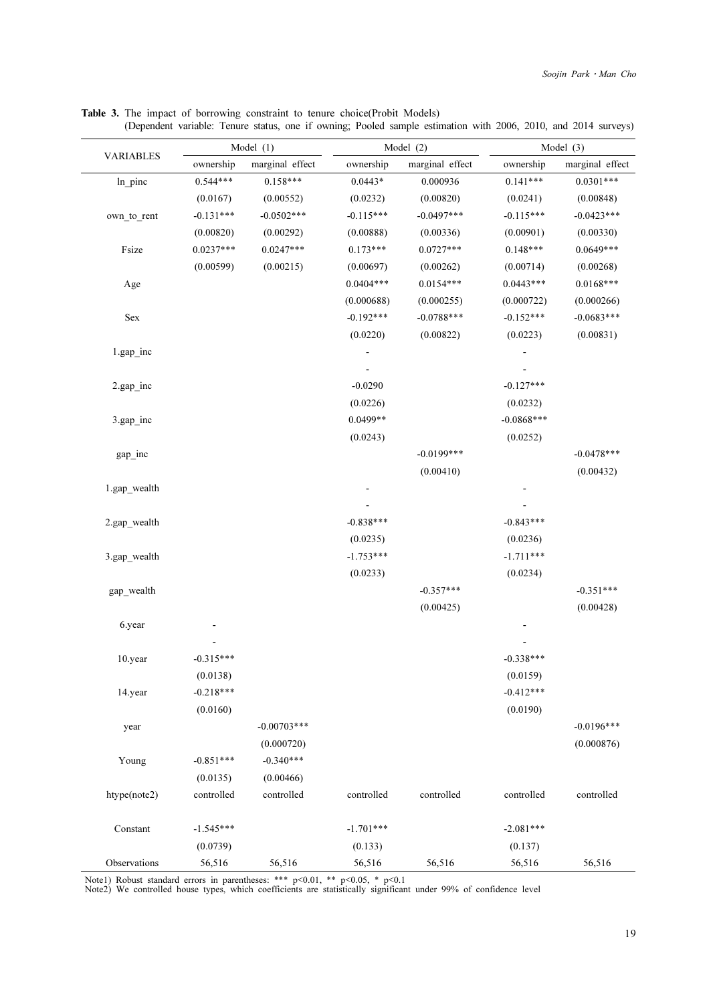|                  | Model $(1)$ |                 |             | Model (2)       |              | Model (3)       |  |
|------------------|-------------|-----------------|-------------|-----------------|--------------|-----------------|--|
| <b>VARIABLES</b> | ownership   | marginal effect | ownership   | marginal effect | ownership    | marginal effect |  |
| ln_pinc          | $0.544***$  | $0.158***$      | $0.0443*$   | 0.000936        | $0.141***$   | $0.0301***$     |  |
|                  | (0.0167)    | (0.00552)       | (0.0232)    | (0.00820)       | (0.0241)     | (0.00848)       |  |
| own_to_rent      | $-0.131***$ | $-0.0502***$    | $-0.115***$ | $-0.0497***$    | $-0.115***$  | $-0.0423***$    |  |
|                  | (0.00820)   | (0.00292)       | (0.00888)   | (0.00336)       | (0.00901)    | (0.00330)       |  |
| Fsize            | $0.0237***$ | $0.0247***$     | $0.173***$  | $0.0727***$     | $0.148***$   | $0.0649***$     |  |
|                  | (0.00599)   | (0.00215)       | (0.00697)   | (0.00262)       | (0.00714)    | (0.00268)       |  |
| Age              |             |                 | $0.0404***$ | $0.0154***$     | $0.0443***$  | $0.0168***$     |  |
|                  |             |                 | (0.000688)  | (0.000255)      | (0.000722)   | (0.000266)      |  |
| Sex              |             |                 | $-0.192***$ | $-0.0788***$    | $-0.152***$  | $-0.0683***$    |  |
|                  |             |                 | (0.0220)    | (0.00822)       | (0.0223)     | (0.00831)       |  |
| $1.gap\_inc$     |             |                 |             |                 |              |                 |  |
|                  |             |                 |             |                 |              |                 |  |
| $2.gap\_inc$     |             |                 | $-0.0290$   |                 | $-0.127***$  |                 |  |
|                  |             |                 | (0.0226)    |                 | (0.0232)     |                 |  |
| $3.$ gap_inc     |             |                 | $0.0499**$  |                 | $-0.0868***$ |                 |  |
|                  |             |                 | (0.0243)    |                 | (0.0252)     |                 |  |
| gap_inc          |             |                 |             | $-0.0199***$    |              | $-0.0478***$    |  |
|                  |             |                 |             | (0.00410)       |              | (0.00432)       |  |
| 1.gap_wealth     |             |                 |             |                 |              |                 |  |
|                  |             |                 |             |                 |              |                 |  |
| 2.gap_wealth     |             |                 | $-0.838***$ |                 | $-0.843***$  |                 |  |
|                  |             |                 | (0.0235)    |                 | (0.0236)     |                 |  |
| 3.gap_wealth     |             |                 | $-1.753***$ |                 | $-1.711***$  |                 |  |
|                  |             |                 | (0.0233)    |                 | (0.0234)     |                 |  |
| gap_wealth       |             |                 |             | $-0.357***$     |              | $-0.351***$     |  |
|                  |             |                 |             | (0.00425)       |              | (0.00428)       |  |
| 6.year           |             |                 |             |                 |              |                 |  |
|                  |             |                 |             |                 |              |                 |  |
| 10.year          | $-0.315***$ |                 |             |                 | $-0.338***$  |                 |  |
|                  | (0.0138)    |                 |             |                 | (0.0159)     |                 |  |
| 14.year          | $-0.218***$ |                 |             |                 | $-0.412***$  |                 |  |
|                  | (0.0160)    |                 |             |                 | (0.0190)     |                 |  |
| year             |             | $-0.00703***$   |             |                 |              | $-0.0196***$    |  |
|                  |             | (0.000720)      |             |                 |              | (0.000876)      |  |
| Young            | $-0.851***$ | $-0.340***$     |             |                 |              |                 |  |
|                  | (0.0135)    | (0.00466)       |             |                 |              |                 |  |
| htype(note2)     | controlled  | controlled      | controlled  | controlled      | controlled   | controlled      |  |
| Constant         | $-1.545***$ |                 | $-1.701***$ |                 | $-2.081***$  |                 |  |
|                  | (0.0739)    |                 | (0.133)     |                 | (0.137)      |                 |  |
| Observations     | 56,516      | 56,516          | 56,516      | 56,516          | 56,516       | 56,516          |  |

Table 3. The impact of borrowing constraint to tenure choice(Probit Models)

(Dependent variable: Tenure status, one if owning; Pooled sample estimation with 2006, 2010, and 2014 surveys)

Note1) Robust standard errors in parentheses: \*\*\* p<0.01, \*\* p<0.05, \* p<0.1 Note2) We controlled house types, which coefficients are statistically significant under 99% of confidence level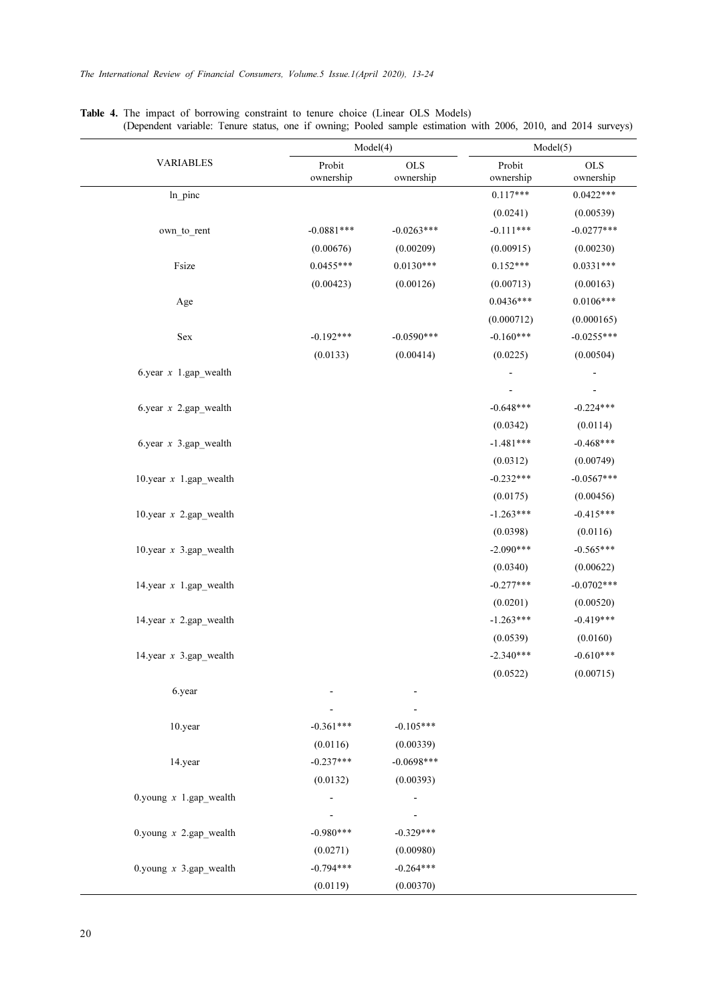|                          |                          | Model(4)                 | Model(5)            |                           |  |
|--------------------------|--------------------------|--------------------------|---------------------|---------------------------|--|
| <b>VARIABLES</b>         | Probit<br>ownership      | <b>OLS</b><br>ownership  | Probit<br>ownership | $_{\rm OLS}$<br>ownership |  |
| In pinc                  |                          |                          | $0.117***$          | $0.0422***$               |  |
|                          |                          |                          | (0.0241)            | (0.00539)                 |  |
| own_to_rent              | $-0.0881***$             | $-0.0263***$             | $-0.111***$         | $-0.0277***$              |  |
|                          | (0.00676)                | (0.00209)                | (0.00915)           | (0.00230)                 |  |
| Fsize                    | $0.0455***$              | $0.0130***$              | $0.152***$          | $0.0331***$               |  |
|                          | (0.00423)                | (0.00126)                | (0.00713)           | (0.00163)                 |  |
| Age                      |                          |                          | $0.0436***$         | $0.0106***$               |  |
|                          |                          |                          | (0.000712)          | (0.000165)                |  |
| Sex                      | $-0.192***$              | $-0.0590***$             | $-0.160***$         | $-0.0255***$              |  |
|                          | (0.0133)                 | (0.00414)                | (0.0225)            | (0.00504)                 |  |
| 6.year $x$ 1.gap wealth  |                          |                          |                     |                           |  |
|                          |                          |                          |                     |                           |  |
| 6.year $x$ 2.gap wealth  |                          |                          | $-0.648***$         | $-0.224***$               |  |
|                          |                          |                          | (0.0342)            | (0.0114)                  |  |
| 6.year $x$ 3.gap wealth  |                          |                          | $-1.481***$         | $-0.468***$               |  |
|                          |                          |                          | (0.0312)            | (0.00749)                 |  |
| 10.year $x$ 1.gap wealth |                          |                          | $-0.232***$         | $-0.0567***$              |  |
|                          |                          |                          | (0.0175)            | (0.00456)                 |  |
| 10.year $x$ 2.gap wealth |                          |                          | $-1.263***$         | $-0.415***$               |  |
|                          |                          |                          | (0.0398)            | (0.0116)                  |  |
| 10.year $x$ 3.gap wealth |                          |                          | $-2.090***$         | $-0.565***$               |  |
|                          |                          |                          | (0.0340)            | (0.00622)                 |  |
| 14.year $x$ 1.gap wealth |                          |                          | $-0.277***$         | $-0.0702***$              |  |
|                          |                          |                          | (0.0201)            | (0.00520)                 |  |
| 14.year $x$ 2.gap wealth |                          |                          | $-1.263***$         | $-0.419***$               |  |
|                          |                          |                          | (0.0539)            | (0.0160)                  |  |
| 14.year $x$ 3.gap wealth |                          |                          | $-2.340***$         | $-0.610***$               |  |
|                          |                          |                          | (0.0522)            | (0.00715)                 |  |
| 6.year                   |                          |                          |                     |                           |  |
|                          |                          |                          |                     |                           |  |
| 10.year                  | $-0.361***$              | $-0.105***$              |                     |                           |  |
|                          | (0.0116)                 | (0.00339)                |                     |                           |  |
| 14.year                  | $-0.237***$              | $-0.0698***$             |                     |                           |  |
|                          | (0.0132)                 | (0.00393)                |                     |                           |  |
| 0.young $x$ 1.gap wealth | $\overline{\phantom{a}}$ | $\overline{\phantom{0}}$ |                     |                           |  |
| 0.young $x$ 2.gap wealth | $-0.980***$              | $-0.329***$              |                     |                           |  |
|                          | (0.0271)                 | (0.00980)                |                     |                           |  |
| 0.young $x$ 3.gap_wealth | $-0.794***$              | $-0.264***$              |                     |                           |  |
|                          | (0.0119)                 | (0.00370)                |                     |                           |  |

Table 4. The impact of borrowing constraint to tenure choice (Linear OLS Models) (Dependent variable: Tenure status, one if owning; Pooled sample estimation with 2006, 2010, and 2014 surveys)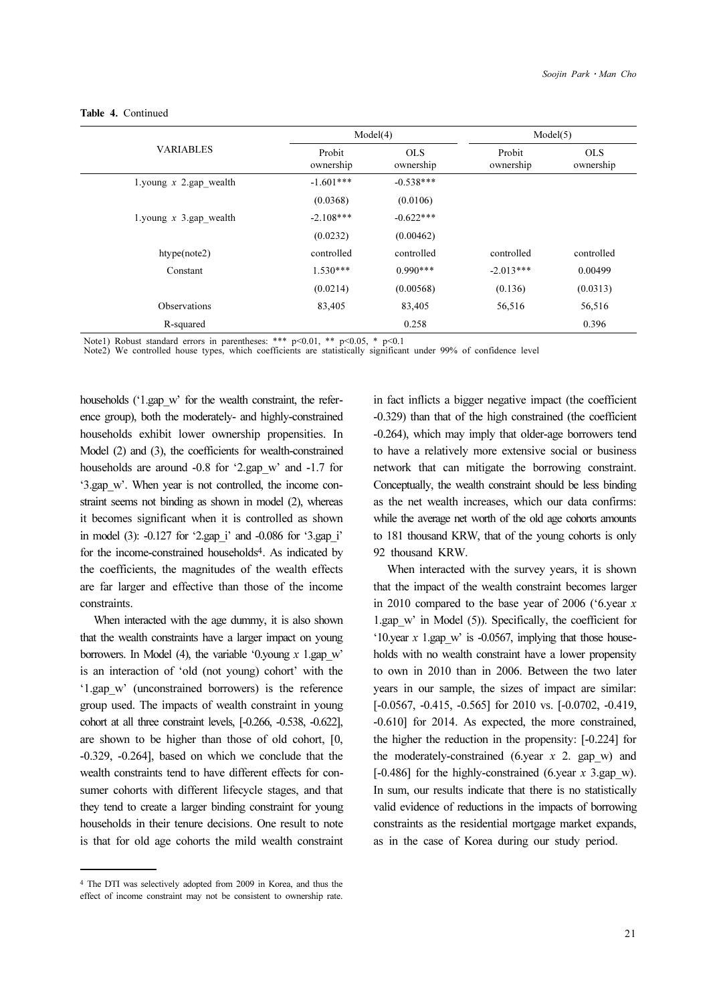|                          |                     | Model(4)                | Model(5)            |                         |
|--------------------------|---------------------|-------------------------|---------------------|-------------------------|
| <b>VARIABLES</b>         | Probit<br>ownership | <b>OLS</b><br>ownership | Probit<br>ownership | <b>OLS</b><br>ownership |
| 1.young $x$ 2.gap wealth | $-1.601***$         | $-0.538***$             |                     |                         |
|                          | (0.0368)            | (0.0106)                |                     |                         |
| 1.young $x$ 3.gap wealth | $-2.108***$         | $-0.622***$             |                     |                         |
|                          | (0.0232)            | (0.00462)               |                     |                         |
| htype(note2)             | controlled          | controlled              | controlled          | controlled              |
| Constant                 | $1.530***$          | $0.990***$              | $-2.013***$         | 0.00499                 |
|                          | (0.0214)            | (0.00568)               | (0.136)             | (0.0313)                |
| <b>Observations</b>      | 83,405              | 83,405                  | 56,516              | 56,516                  |
| R-squared                |                     | 0.258                   |                     | 0.396                   |

#### Table 4. Continued

Note1) Robust standard errors in parentheses: \*\*\*  $p<0.01$ , \*\*  $p<0.05$ , \*  $p<0.1$ 

Note2) We controlled house types, which coefficients are statistically significant under 99% of confidence level

households ('1.gap w' for the wealth constraint, the reference group), both the moderately- and highly-constrained households exhibit lower ownership propensities. In Model (2) and (3), the coefficients for wealth-constrained households are around -0.8 for '2.gap w' and -1.7 for '3.gap\_w'. When year is not controlled, the income constraint seems not binding as shown in model (2), whereas it becomes significant when it is controlled as shown in model (3): -0.127 for '2.gap\_i' and -0.086 for '3.gap\_i' for the income-constrained households4. As indicated by the coefficients, the magnitudes of the wealth effects are far larger and effective than those of the income constraints.

When interacted with the age dummy, it is also shown that the wealth constraints have a larger impact on young borrowers. In Model (4), the variable '0.young  $x$  1.gap w' is an interaction of 'old (not young) cohort' with the '1.gap\_w' (unconstrained borrowers) is the reference group used. The impacts of wealth constraint in young cohort at all three constraint levels, [-0.266, -0.538, -0.622], are shown to be higher than those of old cohort, [0, -0.329, -0.264], based on which we conclude that the wealth constraints tend to have different effects for consumer cohorts with different lifecycle stages, and that they tend to create a larger binding constraint for young households in their tenure decisions. One result to note is that for old age cohorts the mild wealth constraint

in fact inflicts a bigger negative impact (the coefficient -0.329) than that of the high constrained (the coefficient -0.264), which may imply that older-age borrowers tend to have a relatively more extensive social or business network that can mitigate the borrowing constraint. Conceptually, the wealth constraint should be less binding as the net wealth increases, which our data confirms: while the average net worth of the old age cohorts amounts to 181 thousand KRW, that of the young cohorts is only 92 thousand KRW.

When interacted with the survey years, it is shown that the impact of the wealth constraint becomes larger in 2010 compared to the base year of 2006 ('6.year x 1.gap\_w' in Model (5)). Specifically, the coefficient for '10.year  $x$  1.gap w' is -0.0567, implying that those households with no wealth constraint have a lower propensity to own in 2010 than in 2006. Between the two later years in our sample, the sizes of impact are similar: [-0.0567, -0.415, -0.565] for 2010 vs. [-0.0702, -0.419, -0.610] for 2014. As expected, the more constrained, the higher the reduction in the propensity: [-0.224] for the moderately-constrained (6.year  $x$  2. gap w) and  $[-0.486]$  for the highly-constrained (6.year x 3.gap w). In sum, our results indicate that there is no statistically valid evidence of reductions in the impacts of borrowing constraints as the residential mortgage market expands, as in the case of Korea during our study period.

<sup>4</sup> The DTI was selectively adopted from 2009 in Korea, and thus the effect of income constraint may not be consistent to ownership rate.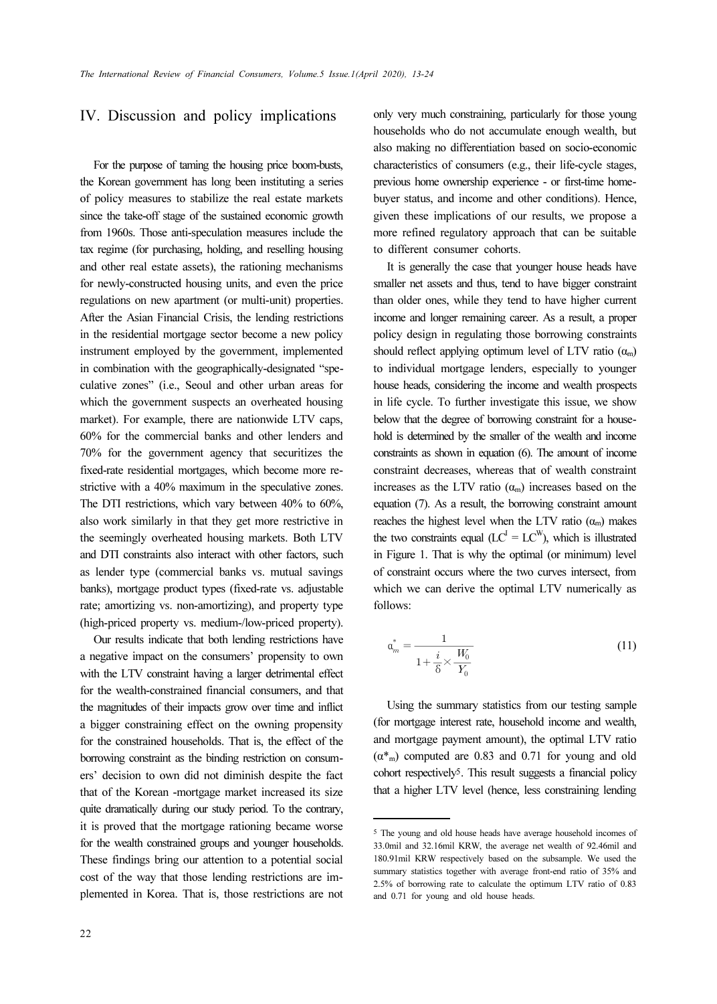# IV. Discussion and policy implications

For the purpose of taming the housing price boom-busts, the Korean government has long been instituting a series of policy measures to stabilize the real estate markets since the take-off stage of the sustained economic growth from 1960s. Those anti-speculation measures include the tax regime (for purchasing, holding, and reselling housing and other real estate assets), the rationing mechanisms for newly-constructed housing units, and even the price regulations on new apartment (or multi-unit) properties. After the Asian Financial Crisis, the lending restrictions in the residential mortgage sector become a new policy instrument employed by the government, implemented in combination with the geographically-designated "speculative zones" (i.e., Seoul and other urban areas for which the government suspects an overheated housing market). For example, there are nationwide LTV caps, 60% for the commercial banks and other lenders and 70% for the government agency that securitizes the fixed-rate residential mortgages, which become more restrictive with a 40% maximum in the speculative zones. The DTI restrictions, which vary between 40% to 60%, also work similarly in that they get more restrictive in the seemingly overheated housing markets. Both LTV and DTI constraints also interact with other factors, such as lender type (commercial banks vs. mutual savings banks), mortgage product types (fixed-rate vs. adjustable rate; amortizing vs. non-amortizing), and property type (high-priced property vs. medium-/low-priced property).

Our results indicate that both lending restrictions have a negative impact on the consumers' propensity to own with the LTV constraint having a larger detrimental effect for the wealth-constrained financial consumers, and that the magnitudes of their impacts grow over time and inflict a bigger constraining effect on the owning propensity for the constrained households. That is, the effect of the borrowing constraint as the binding restriction on consumers' decision to own did not diminish despite the fact that of the Korean -mortgage market increased its size quite dramatically during our study period. To the contrary, it is proved that the mortgage rationing became worse for the wealth constrained groups and younger households. These findings bring our attention to a potential social cost of the way that those lending restrictions are implemented in Korea. That is, those restrictions are not

only very much constraining, particularly for those young households who do not accumulate enough wealth, but also making no differentiation based on socio-economic characteristics of consumers (e.g., their life-cycle stages, previous home ownership experience - or first-time homebuyer status, and income and other conditions). Hence, given these implications of our results, we propose a more refined regulatory approach that can be suitable to different consumer cohorts.

It is generally the case that younger house heads have smaller net assets and thus, tend to have bigger constraint than older ones, while they tend to have higher current income and longer remaining career. As a result, a proper policy design in regulating those borrowing constraints should reflect applying optimum level of LTV ratio  $(\alpha_m)$ to individual mortgage lenders, especially to younger house heads, considering the income and wealth prospects in life cycle. To further investigate this issue, we show below that the degree of borrowing constraint for a household is determined by the smaller of the wealth and income constraints as shown in equation (6). The amount of income constraint decreases, whereas that of wealth constraint increases as the LTV ratio  $(\alpha_m)$  increases based on the equation (7). As a result, the borrowing constraint amount reaches the highest level when the LTV ratio  $(\alpha_m)$  makes the two constraints equal  $(LC^I = LC^W)$ , which is illustrated in Figure 1. That is why the optimal (or minimum) level of constraint occurs where the two curves intersect, from which we can derive the optimal LTV numerically as follows: 20), 13-24<br>very much const<br>seholds who do r<br>making no different acteristics of cons<br>ious home owners<br>er status, and inc<br>n these implicaties referred regulations.<br>if erent consume is generally the lead of the read set and<br> tas, etc.<br>
cle. 1<br>
t the termin<br>
is as st<br>
t decrease the can<br>
onstra<br>
1. The can<br>  $1 + \frac{i}{c}$ 1 constants of the constant of the constant of the constant of the constant of the constant of the constant of the constant of the constant of the constant of the constant of the constant of the constant of the constant o

$$
a_m^* = \frac{1}{1 + \frac{i}{\delta} \times \frac{W_0}{Y_0}}
$$
(11)

Using the summary statistics from our testing sample (for mortgage interest rate, household income and wealth, and mortgage payment amount), the optimal LTV ratio  $(\alpha^*)$  computed are 0.83 and 0.71 for young and old cohort respectively5. This result suggests a financial policy that a higher LTV level (hence, less constraining lending

<sup>5</sup> The young and old house heads have average household incomes of 33.0mil and 32.16mil KRW, the average net wealth of 92.46mil and 180.91mil KRW respectively based on the subsample. We used the summary statistics together with average front-end ratio of 35% and 2.5% of borrowing rate to calculate the optimum LTV ratio of 0.83 and 0.71 for young and old house heads.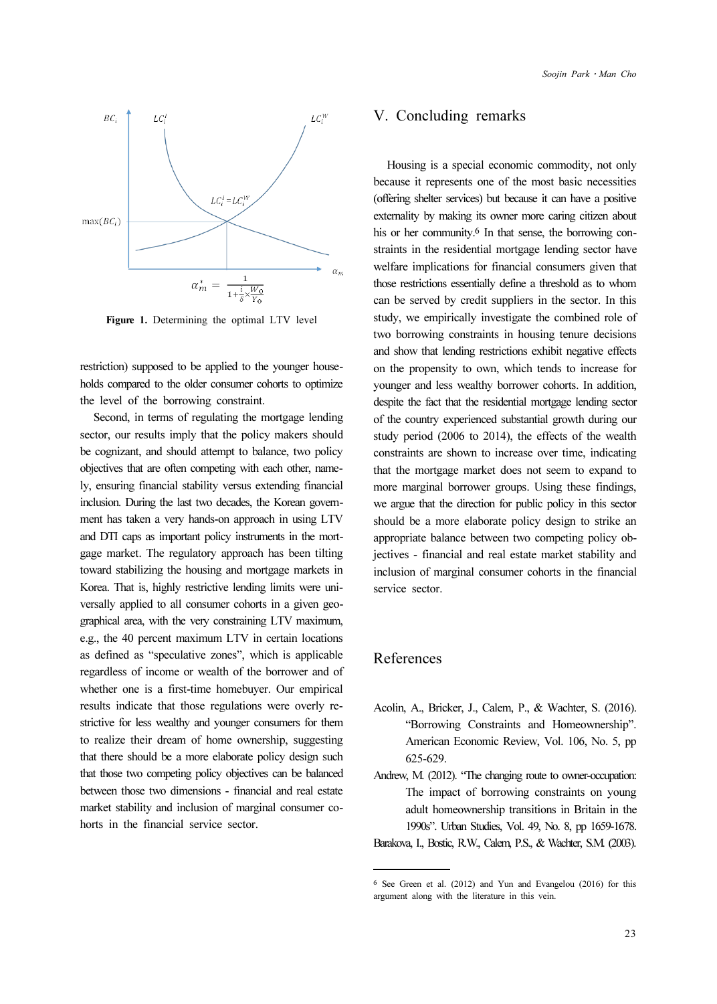

Figure 1. Determining the optimal LTV level

restriction) supposed to be applied to the younger households compared to the older consumer cohorts to optimize the level of the borrowing constraint.

Second, in terms of regulating the mortgage lending sector, our results imply that the policy makers should be cognizant, and should attempt to balance, two policy objectives that are often competing with each other, namely, ensuring financial stability versus extending financial inclusion. During the last two decades, the Korean government has taken a very hands-on approach in using LTV and DTI caps as important policy instruments in the mortgage market. The regulatory approach has been tilting toward stabilizing the housing and mortgage markets in Korea. That is, highly restrictive lending limits were universally applied to all consumer cohorts in a given geographical area, with the very constraining LTV maximum, e.g., the 40 percent maximum LTV in certain locations as defined as "speculative zones", which is applicable regardless of income or wealth of the borrower and of whether one is a first-time homebuyer. Our empirical results indicate that those regulations were overly restrictive for less wealthy and younger consumers for them to realize their dream of home ownership, suggesting that there should be a more elaborate policy design such that those two competing policy objectives can be balanced between those two dimensions - financial and real estate market stability and inclusion of marginal consumer cohorts in the financial service sector.

### V. Concluding remarks

Housing is a special economic commodity, not only because it represents one of the most basic necessities (offering shelter services) but because it can have a positive externality by making its owner more caring citizen about his or her community.<sup>6</sup> In that sense, the borrowing constraints in the residential mortgage lending sector have welfare implications for financial consumers given that those restrictions essentially define a threshold as to whom can be served by credit suppliers in the sector. In this study, we empirically investigate the combined role of two borrowing constraints in housing tenure decisions and show that lending restrictions exhibit negative effects on the propensity to own, which tends to increase for younger and less wealthy borrower cohorts. In addition, despite the fact that the residential mortgage lending sector of the country experienced substantial growth during our study period (2006 to 2014), the effects of the wealth constraints are shown to increase over time, indicating that the mortgage market does not seem to expand to more marginal borrower groups. Using these findings, we argue that the direction for public policy in this sector should be a more elaborate policy design to strike an appropriate balance between two competing policy objectives - financial and real estate market stability and inclusion of marginal consumer cohorts in the financial service sector.

# References

- Acolin, A., Bricker, J., Calem, P., & Wachter, S. (2016). "Borrowing Constraints and Homeownership". American Economic Review, Vol. 106, No. 5, pp 625-629.
- Andrew, M. (2012). "The changing route to owner-occupation: The impact of borrowing constraints on young adult homeownership transitions in Britain in the 1990s". Urban Studies, Vol. 49, No. 8, pp 1659-1678.

Barakova, I., Bostic, R.W., Calem, P.S., & Wachter, S.M. (2003).

<sup>6</sup> See Green et al. (2012) and Yun and Evangelou (2016) for this argument along with the literature in this vein.